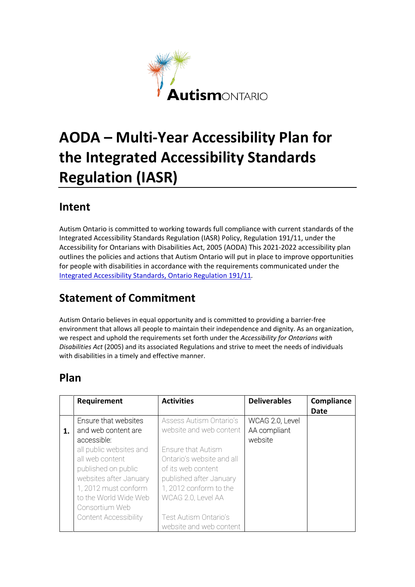

# **AODA – Multi-Year Accessibility Plan for the Integrated Accessibility Standards Regulation (IASR)**

#### **Intent**

Autism Ontario is committed to working towards full compliance with current standards of the Integrated Accessibility Standards Regulation (IASR) Policy, Regulation 191/11, under the Accessibility for Ontarians with Disabilities Act, 2005 (AODA) This 2021-2022 accessibility plan outlines the policies and actions that Autism Ontario will put in place to improve opportunities for people with disabilities in accordance with the requirements communicated under the [Integrated Accessibility Standards, Ontario Regulation 191/11](http://www.e-laws.gov.on.ca/html/regs/english/elaws_regs_110191_e.htm)*.*

### **Statement of Commitment**

Autism Ontario believes in equal opportunity and is committed to providing a barrier-free environment that allows all people to maintain their independence and dignity. As an organization, we respect and uphold the requirements set forth under the *Accessibility for Ontarians with Disabilities Act* (2005) and its associated Regulations and strive to meet the needs of individuals with disabilities in a timely and effective manner.

#### **Plan**

|    | Requirement                  | <b>Activities</b>         | <b>Deliverables</b> | Compliance  |
|----|------------------------------|---------------------------|---------------------|-------------|
|    |                              |                           |                     | <b>Date</b> |
|    | Ensure that websites         | Assess Autism Ontario's   | WCAG 2.0, Level     |             |
| 1. | and web content are          | website and web content   | AA compliant        |             |
|    | accessible:                  |                           | website             |             |
|    | all public websites and      | Ensure that Autism        |                     |             |
|    | all web content              | Ontario's website and all |                     |             |
|    | published on public          | of its web content        |                     |             |
|    | websites after January       | published after January   |                     |             |
|    | 1, 2012 must conform         | 1, 2012 conform to the    |                     |             |
|    | to the World Wide Web        | WCAG 2.0, Level AA        |                     |             |
|    | Consortium Web               |                           |                     |             |
|    | <b>Content Accessibility</b> | Test Autism Ontario's     |                     |             |
|    |                              | website and web content   |                     |             |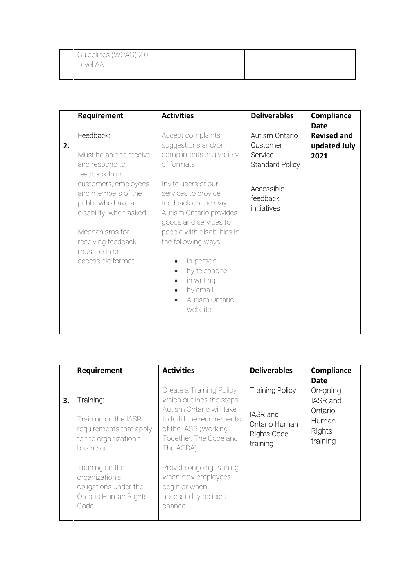| Guidelines (WCAG) 2.0, |  |  |
|------------------------|--|--|
| Level AA               |  |  |

|    | Requirement                                                                                                                                     | <b>Activities</b>                                                                                                                                                                                                                        | <b>Deliverables</b>                                             | Compliance<br><b>Date</b>                  |
|----|-------------------------------------------------------------------------------------------------------------------------------------------------|------------------------------------------------------------------------------------------------------------------------------------------------------------------------------------------------------------------------------------------|-----------------------------------------------------------------|--------------------------------------------|
| 2. | Feedback:<br>Must be able to receive<br>and respond to<br>feedback from<br>customers, employees                                                 | Accept complaints,<br>suggestions and/or<br>compliments in a variety<br>of formats<br>Invite users of our                                                                                                                                | Autism Ontario<br>Customer<br>Service<br><b>Standard Policy</b> | <b>Revised and</b><br>updated July<br>2021 |
|    | and members of the<br>public who have a<br>disability, when asked<br>Mechanisms for<br>receiving feedback<br>must be in an<br>accessible format | services to provide<br>feedback on the way<br>Autism Ontario provides<br>goods and services to<br>people with disabilities in<br>the following ways:<br>in-person<br>by telephone<br>in writing<br>by email<br>Autism Ontario<br>website | Accessible<br>feedback<br>initiatives                           |                                            |

|    | Requirement                                                                                | <b>Activities</b>                                                                                   | <b>Deliverables</b>                                         | Compliance                             |
|----|--------------------------------------------------------------------------------------------|-----------------------------------------------------------------------------------------------------|-------------------------------------------------------------|----------------------------------------|
|    |                                                                                            |                                                                                                     |                                                             | Date                                   |
| 3. | Training:                                                                                  | Create a Training Policy<br>which outlines the steps<br>Autism Ontario will take                    | <b>Training Policy</b>                                      | On-going<br><b>IASR</b> and<br>Ontario |
|    | Training on the IASR<br>requirements that apply<br>to the organization's<br>business       | to fulfill the requirements<br>of the IASR (Working<br>Together: The Code and<br>The AODA)          | IASR and<br>Ontario Human<br><b>Rights Code</b><br>training | Human<br>Rights<br>training            |
|    | Training on the<br>organization's<br>obligations under the<br>Ontario Human Rights<br>Code | Provide ongoing training<br>when new employees<br>begin or when<br>accessibility policies<br>change |                                                             |                                        |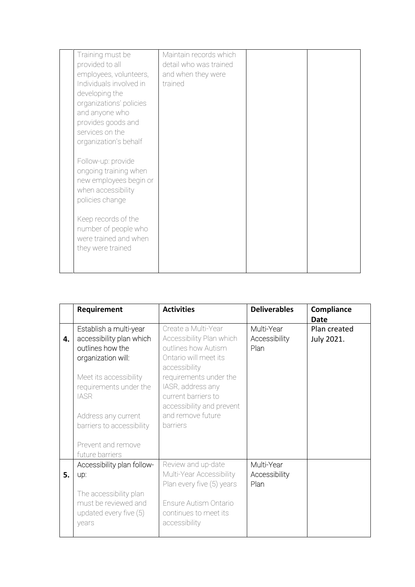| Training must be<br>provided to all<br>employees, volunteers,<br>Individuals involved in<br>developing the<br>organizations' policies<br>and anyone who<br>provides goods and<br>services on the                                     | Maintain records which<br>detail who was trained<br>and when they were<br>trained |  |
|--------------------------------------------------------------------------------------------------------------------------------------------------------------------------------------------------------------------------------------|-----------------------------------------------------------------------------------|--|
| organization's behalf<br>Follow-up: provide<br>ongoing training when<br>new employees begin or<br>when accessibility<br>policies change<br>Keep records of the<br>number of people who<br>were trained and when<br>they were trained |                                                                                   |  |

|    | Requirement                | <b>Activities</b>         | <b>Deliverables</b> | Compliance   |
|----|----------------------------|---------------------------|---------------------|--------------|
|    |                            |                           |                     | <b>Date</b>  |
|    | Establish a multi-year     | Create a Multi-Year       | Multi-Year          | Plan created |
| 4. | accessibility plan which   | Accessibility Plan which  | Accessibility       | July 2021.   |
|    | outlines how the           | outlines how Autism       | Plan                |              |
|    | organization will:         | Ontario will meet its     |                     |              |
|    |                            | accessibility             |                     |              |
|    | Meet its accessibility     | requirements under the    |                     |              |
|    | requirements under the     | IASR, address any         |                     |              |
|    | <b>IASR</b>                | current barriers to       |                     |              |
|    |                            | accessibility and prevent |                     |              |
|    | Address any current        | and remove future         |                     |              |
|    | barriers to accessibility  | barriers                  |                     |              |
|    |                            |                           |                     |              |
|    | Prevent and remove         |                           |                     |              |
|    | future barriers            |                           |                     |              |
|    | Accessibility plan follow- | Review and up-date        | Multi-Year          |              |
| 5. | up:                        | Multi-Year Accessibility  | Accessibility       |              |
|    |                            | Plan every five (5) years | Plan                |              |
|    | The accessibility plan     |                           |                     |              |
|    | must be reviewed and       | Ensure Autism Ontario     |                     |              |
|    | updated every five (5)     | continues to meet its     |                     |              |
|    | years                      | accessibility             |                     |              |
|    |                            |                           |                     |              |